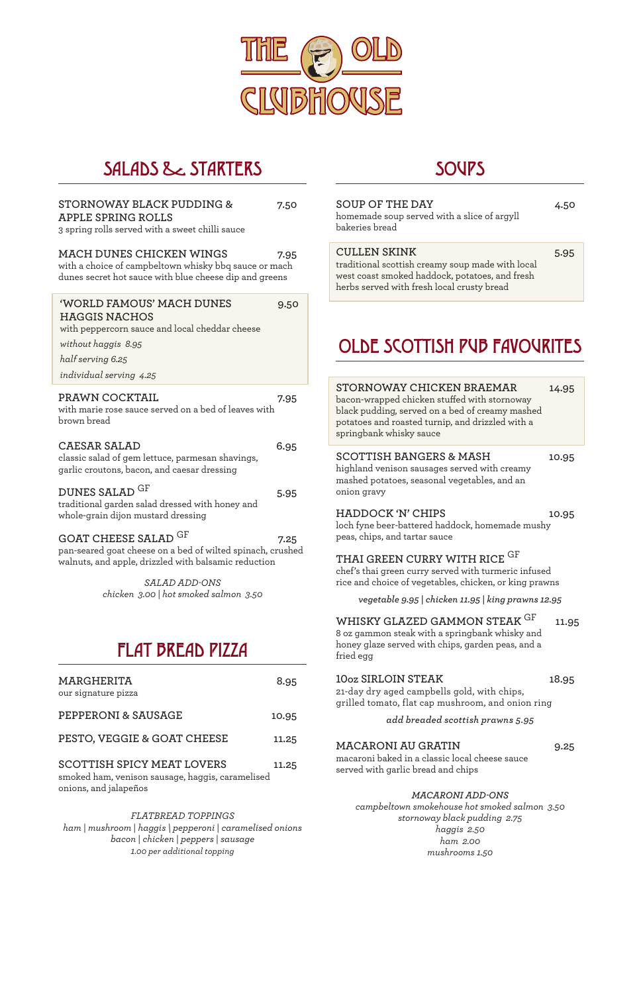

## SALADS & STARTERS

#### **STORNOWAY BLACK PUDDING & 7.50 APPLE SPRING ROLLS** 3 spring rolls served with a sweet chilli sauce

#### **MACH DUNES CHICKEN WINGS 7.95**

with a choice of campbeltown whisky bbq sauce or mach dunes secret hot sauce with blue cheese dip and greens

with marie rose sauce served on a bed of leaves with brown bread

## **CAESAR SALAD 6.95**

classic salad of gem lettuce, parmesan shavings, garlic croutons, bacon, and caesar dressing

## **DUNES SALAD** GF **5.95**

traditional garden salad dressed with honey and whole-grain dijon mustard dressing

## GOAT CHEESE SALAD <sup>GF</sup> 7.25

pan-seared goat cheese on a bed of wilted spinach, crushed walnuts, and apple, drizzled with balsamic reduction

> *SALAD ADD-ONS chicken 3.00 | hot smoked salmon 3.50*

### **SOUP OF THE DAY 4.50**

homemade soup served with a slice of argyll bakeries bread

# FLAT BREAD PIZZA

| MARGHERITA          | 8.95 |
|---------------------|------|
| our signature pizza |      |

**PEPPERONI & SAUSAGE 10.95**

## **SOUPS**

## **SCOTTISH SPICY MEAT LOVERS 11.25**

smoked ham, venison sausage, haggis, caramelised onions, and jalapeños

#### *FLATBREAD TOPPINGS ham | mushroom | haggis \ pepperoni | caramelised onions bacon | chicken | peppers | sausage 1.00 per additional topping*

### **SCOTTISH BANGERS & MASH 10.95**

highland venison sausages served with creamy mashed potatoes, seasonal vegetables, and an onion gravy

#### **HADDOCK 'N' CHIPS 10.95**

loch fyne beer-battered haddock, homemade mushy peas, chips, and tartar sauce

### **THAI GREEN CURRY WITH RICE** GF

chef's thai green curry served with turmeric infused rice and choice of vegetables, chicken, or king prawns

*vegetable 9.95 | chicken 11.95 | king prawns 12.95*

## **WHISKY GLAZED GAMMON STEAK** <sup>GF</sup> 11.95

8 oz gammon steak with a springbank whisky and honey glaze served with chips, garden peas, and a fried egg

**10oz SIRLOIN STEAK 18.95**

21-day dry aged campbells gold, with chips, grilled tomato, flat cap mushroom, and onion ring

#### *add breaded scottish prawns 5.95*

### **MACARONI AU GRATIN 9.25**

macaroni baked in a classic local cheese sauce served with garlic bread and chips

#### *MACARONI ADD-ONS*

*campbeltown smokehouse hot smoked salmon 3.50 stornoway black pudding 2.75 haggis 2.50 ham 2.00 mushrooms 1.50*

# OLDE SCOTTISH PUB FAVOURITES

#### **'WORLD FAMOUS' MACH DUNES 9.50 HAGGIS NACHOS** with peppercorn sauce and local cheddar cheese

*without haggis 8.95* 

*half serving 6.25*

*individual serving 4.25* 

#### PRAWN COCKTAIL 7.95

#### **CULLEN SKINK 5.95**

traditional scottish creamy soup made with local west coast smoked haddock, potatoes, and fresh herbs served with fresh local crusty bread

**STORNOWAY CHICKEN BRAEMAR 14.95**

bacon-wrapped chicken stuffed with stornoway black pudding, served on a bed of creamy mashed potatoes and roasted turnip, and drizzled with a springbank whisky sauce